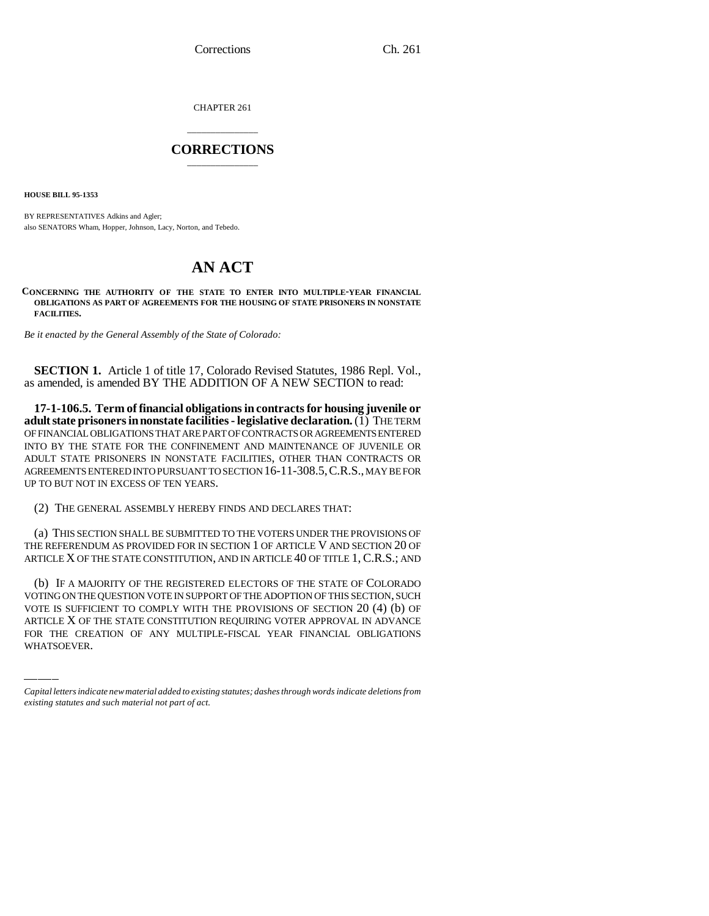Corrections Ch. 261

CHAPTER 261

## \_\_\_\_\_\_\_\_\_\_\_\_\_\_\_ **CORRECTIONS** \_\_\_\_\_\_\_\_\_\_\_\_\_\_\_

**HOUSE BILL 95-1353**

BY REPRESENTATIVES Adkins and Agler; also SENATORS Wham, Hopper, Johnson, Lacy, Norton, and Tebedo.

## **AN ACT**

**CONCERNING THE AUTHORITY OF THE STATE TO ENTER INTO MULTIPLE-YEAR FINANCIAL OBLIGATIONS AS PART OF AGREEMENTS FOR THE HOUSING OF STATE PRISONERS IN NONSTATE FACILITIES.**

*Be it enacted by the General Assembly of the State of Colorado:*

**SECTION 1.** Article 1 of title 17, Colorado Revised Statutes, 1986 Repl. Vol., as amended, is amended BY THE ADDITION OF A NEW SECTION to read:

**17-1-106.5. Term of financial obligations in contracts for housing juvenile or adult state prisoners in nonstate facilities - legislative declaration.** (1) THE TERM OF FINANCIAL OBLIGATIONS THAT ARE PART OF CONTRACTS OR AGREEMENTS ENTERED INTO BY THE STATE FOR THE CONFINEMENT AND MAINTENANCE OF JUVENILE OR ADULT STATE PRISONERS IN NONSTATE FACILITIES, OTHER THAN CONTRACTS OR AGREEMENTS ENTERED INTO PURSUANT TO SECTION 16-11-308.5,C.R.S., MAY BE FOR UP TO BUT NOT IN EXCESS OF TEN YEARS.

(2) THE GENERAL ASSEMBLY HEREBY FINDS AND DECLARES THAT:

(a) THIS SECTION SHALL BE SUBMITTED TO THE VOTERS UNDER THE PROVISIONS OF THE REFERENDUM AS PROVIDED FOR IN SECTION 1 OF ARTICLE V AND SECTION 20 OF ARTICLE X OF THE STATE CONSTITUTION, AND IN ARTICLE 40 OF TITLE 1, C.R.S.; AND

VOTING ON THE QUESTION VOTE IN SUPPORT OF THE ADOPTION OF THIS SECTION, SUCH (b) IF A MAJORITY OF THE REGISTERED ELECTORS OF THE STATE OF COLORADO VOTE IS SUFFICIENT TO COMPLY WITH THE PROVISIONS OF SECTION 20 (4) (b) OF ARTICLE X OF THE STATE CONSTITUTION REQUIRING VOTER APPROVAL IN ADVANCE FOR THE CREATION OF ANY MULTIPLE-FISCAL YEAR FINANCIAL OBLIGATIONS WHATSOEVER.

*Capital letters indicate new material added to existing statutes; dashes through words indicate deletions from existing statutes and such material not part of act.*